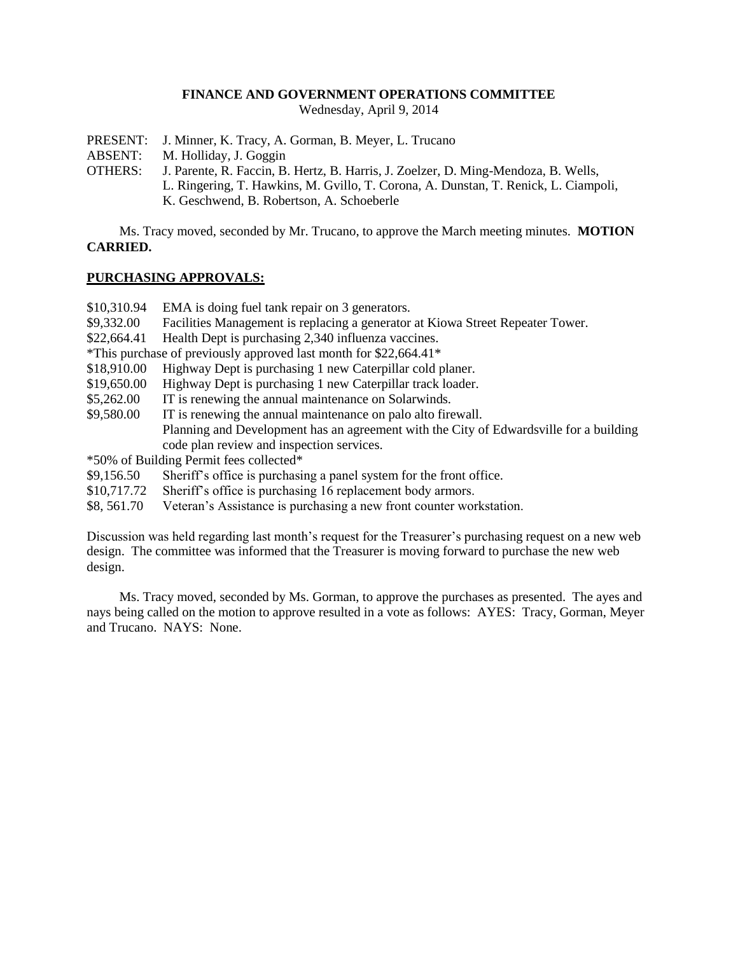#### **FINANCE AND GOVERNMENT OPERATIONS COMMITTEE**

Wednesday, April 9, 2014

- PRESENT: J. Minner, K. Tracy, A. Gorman, B. Meyer, L. Trucano
- ABSENT: M. Holliday, J. Goggin
- OTHERS: J. Parente, R. Faccin, B. Hertz, B. Harris, J. Zoelzer, D. Ming-Mendoza, B. Wells, L. Ringering, T. Hawkins, M. Gvillo, T. Corona, A. Dunstan, T. Renick, L. Ciampoli, K. Geschwend, B. Robertson, A. Schoeberle

Ms. Tracy moved, seconded by Mr. Trucano, to approve the March meeting minutes. **MOTION CARRIED.**

## **PURCHASING APPROVALS:**

- \$10,310.94 EMA is doing fuel tank repair on 3 generators.
- \$9,332.00 Facilities Management is replacing a generator at Kiowa Street Repeater Tower.
- \$22,664.41 Health Dept is purchasing 2,340 influenza vaccines.
- \*This purchase of previously approved last month for \$22,664.41\*
- \$18,910.00 Highway Dept is purchasing 1 new Caterpillar cold planer.
- \$19,650.00 Highway Dept is purchasing 1 new Caterpillar track loader.
- \$5,262.00 IT is renewing the annual maintenance on Solarwinds.
- \$9,580.00 IT is renewing the annual maintenance on palo alto firewall. Planning and Development has an agreement with the City of Edwardsville for a building code plan review and inspection services.

\*50% of Building Permit fees collected\*

- \$9,156.50 Sheriff's office is purchasing a panel system for the front office.
- \$10,717.72 Sheriff's office is purchasing 16 replacement body armors.
- \$8, 561.70 Veteran's Assistance is purchasing a new front counter workstation.

Discussion was held regarding last month's request for the Treasurer's purchasing request on a new web design. The committee was informed that the Treasurer is moving forward to purchase the new web design.

Ms. Tracy moved, seconded by Ms. Gorman, to approve the purchases as presented. The ayes and nays being called on the motion to approve resulted in a vote as follows: AYES: Tracy, Gorman, Meyer and Trucano. NAYS: None.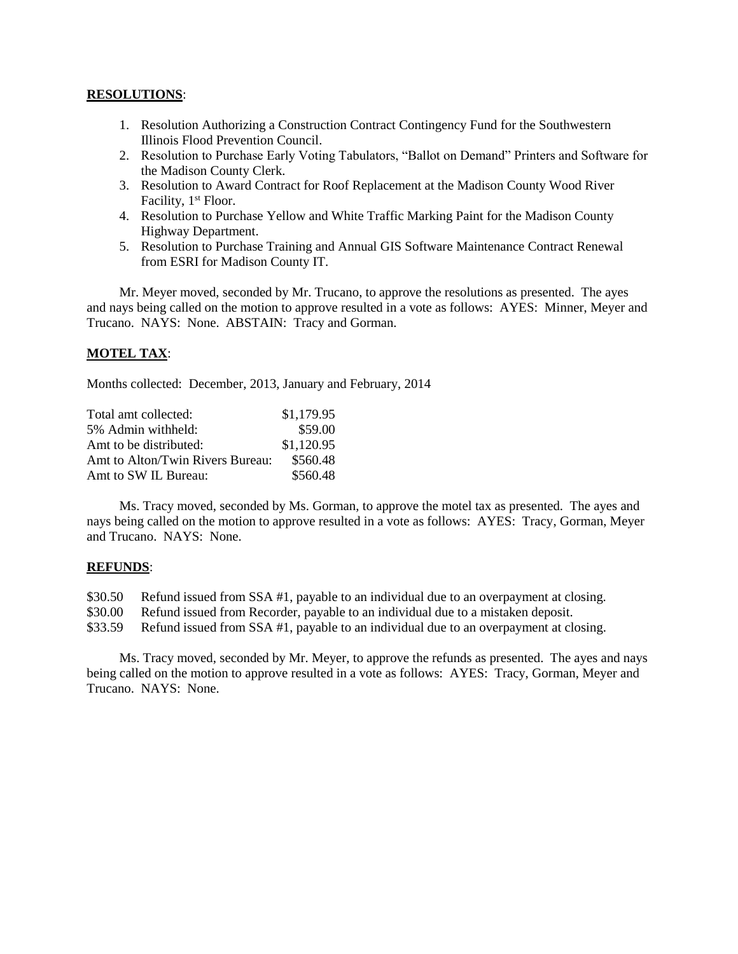#### **RESOLUTIONS**:

- 1. Resolution Authorizing a Construction Contract Contingency Fund for the Southwestern Illinois Flood Prevention Council.
- 2. Resolution to Purchase Early Voting Tabulators, "Ballot on Demand" Printers and Software for the Madison County Clerk.
- 3. Resolution to Award Contract for Roof Replacement at the Madison County Wood River Facility, 1<sup>st</sup> Floor.
- 4. Resolution to Purchase Yellow and White Traffic Marking Paint for the Madison County Highway Department.
- 5. Resolution to Purchase Training and Annual GIS Software Maintenance Contract Renewal from ESRI for Madison County IT.

Mr. Meyer moved, seconded by Mr. Trucano, to approve the resolutions as presented. The ayes and nays being called on the motion to approve resulted in a vote as follows: AYES: Minner, Meyer and Trucano. NAYS: None. ABSTAIN: Tracy and Gorman.

## **MOTEL TAX**:

Months collected: December, 2013, January and February, 2014

| Total amt collected:             | \$1,179.95 |
|----------------------------------|------------|
| 5% Admin withheld:               | \$59.00    |
| Amt to be distributed:           | \$1,120.95 |
| Amt to Alton/Twin Rivers Bureau: | \$560.48   |
| Amt to SW IL Bureau:             | \$560.48   |

Ms. Tracy moved, seconded by Ms. Gorman, to approve the motel tax as presented. The ayes and nays being called on the motion to approve resulted in a vote as follows: AYES: Tracy, Gorman, Meyer and Trucano. NAYS: None.

## **REFUNDS**:

\$30.50 Refund issued from SSA #1, payable to an individual due to an overpayment at closing.

- \$30.00 Refund issued from Recorder, payable to an individual due to a mistaken deposit.
- \$33.59 Refund issued from SSA #1, payable to an individual due to an overpayment at closing.

Ms. Tracy moved, seconded by Mr. Meyer, to approve the refunds as presented. The ayes and nays being called on the motion to approve resulted in a vote as follows: AYES: Tracy, Gorman, Meyer and Trucano. NAYS: None.